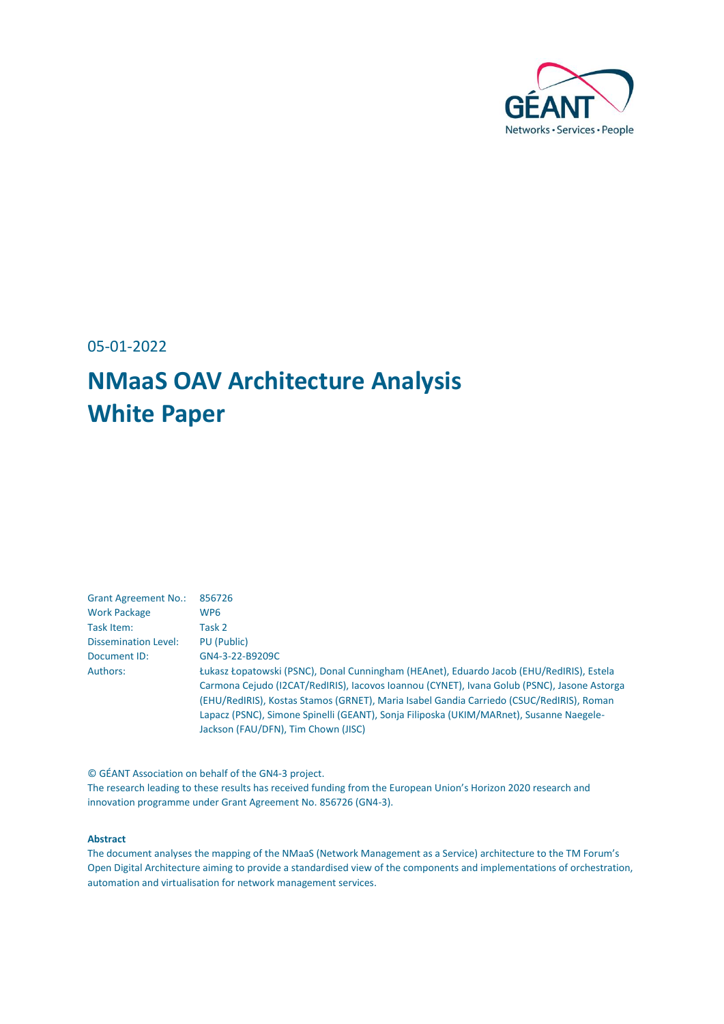

05-01-2022

# **NMaaS OAV Architecture Analysis White Paper**

| <b>Grant Agreement No.:</b> | 856726                                                                                      |
|-----------------------------|---------------------------------------------------------------------------------------------|
| <b>Work Package</b>         | WP <sub>6</sub>                                                                             |
| Task Item:                  | Task 2                                                                                      |
| <b>Dissemination Level:</b> | PU (Public)                                                                                 |
| Document ID:                | GN4-3-22-B9209C                                                                             |
| Authors:                    | Łukasz Łopatowski (PSNC), Donal Cunningham (HEAnet), Eduardo Jacob (EHU/RedIRIS), Estela    |
|                             | Carmona Cejudo (I2CAT/RedIRIS), Iacovos Ioannou (CYNET), Ivana Golub (PSNC), Jasone Astorga |
|                             | (EHU/RedIRIS), Kostas Stamos (GRNET), Maria Isabel Gandia Carriedo (CSUC/RedIRIS), Roman    |
|                             | Lapacz (PSNC), Simone Spinelli (GEANT), Sonja Filiposka (UKIM/MARnet), Susanne Naegele-     |
|                             | Jackson (FAU/DFN), Tim Chown (JISC)                                                         |

© GÉANT Association on behalf of the GN4-3 project. The research leading to these results has received funding from the European Union's Horizon 2020 research and innovation programme under Grant Agreement No. 856726 (GN4-3).

#### **Abstract**

The document analyses the mapping of the NMaaS (Network Management as a Service) architecture to the TM Forum's Open Digital Architecture aiming to provide a standardised view of the components and implementations of orchestration, automation and virtualisation for network management services.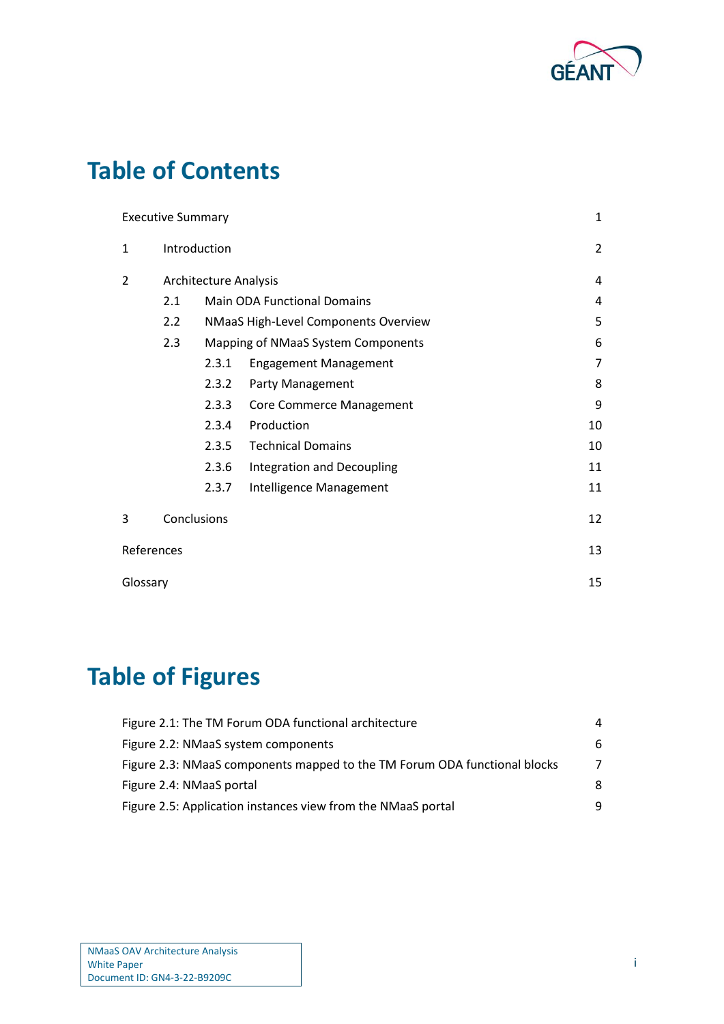

## **Table of Contents**

|              | <b>Executive Summary</b> |                                           |                                   | 1              |  |
|--------------|--------------------------|-------------------------------------------|-----------------------------------|----------------|--|
| $\mathbf{1}$ | Introduction             |                                           |                                   | $\overline{2}$ |  |
| 2            |                          | <b>Architecture Analysis</b>              |                                   |                |  |
|              | 2.1                      | <b>Main ODA Functional Domains</b><br>4   |                                   |                |  |
|              | 2.2                      | 5<br>NMaaS High-Level Components Overview |                                   |                |  |
|              | 2.3                      | 6<br>Mapping of NMaaS System Components   |                                   |                |  |
|              |                          | 2.3.1                                     | <b>Engagement Management</b>      | 7              |  |
|              |                          | 2.3.2                                     | Party Management                  | 8              |  |
|              |                          | 2.3.3                                     | <b>Core Commerce Management</b>   | 9              |  |
|              |                          | 2.3.4                                     | Production                        | 10             |  |
|              |                          | 2.3.5                                     | <b>Technical Domains</b>          | 10             |  |
|              |                          | 2.3.6                                     | <b>Integration and Decoupling</b> | 11             |  |
|              |                          | 2.3.7                                     | Intelligence Management           | 11             |  |
| 3            | Conclusions              |                                           |                                   | 12             |  |
| References   |                          |                                           |                                   | 13             |  |
| Glossary     |                          |                                           |                                   | 15             |  |

# **Table of Figures**

| Figure 2.1: The TM Forum ODA functional architecture                      | 4 |
|---------------------------------------------------------------------------|---|
| Figure 2.2: NMaaS system components                                       | 6 |
| Figure 2.3: NMaaS components mapped to the TM Forum ODA functional blocks | 7 |
| Figure 2.4: NMaaS portal                                                  | 8 |
| Figure 2.5: Application instances view from the NMaaS portal              | q |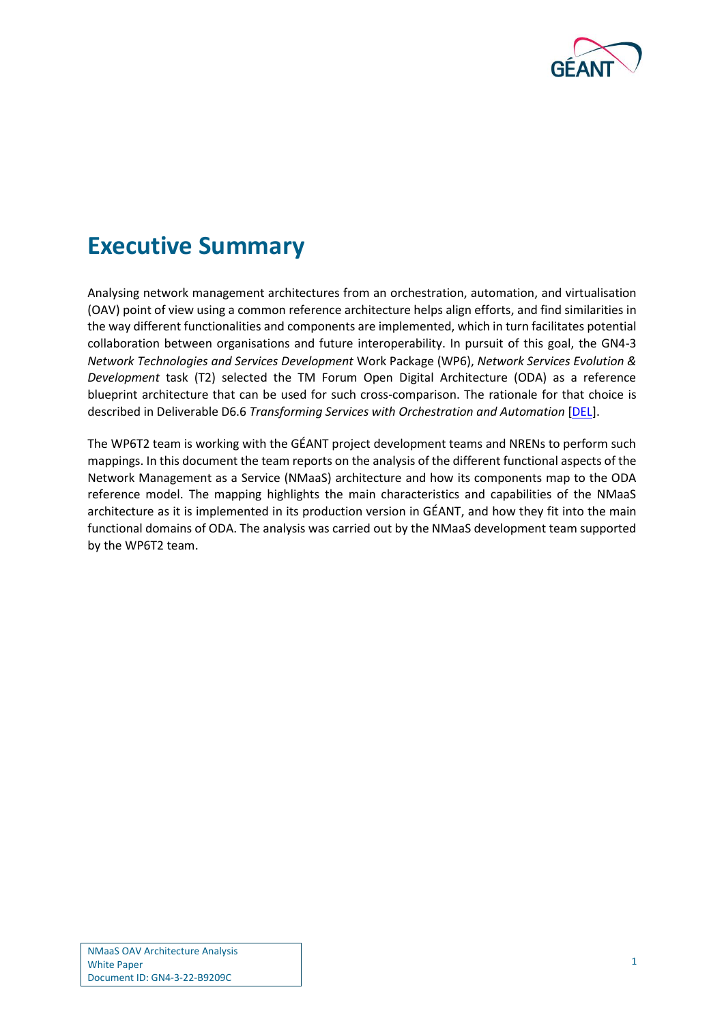

## <span id="page-2-0"></span>**Executive Summary**

Analysing network management architectures from an orchestration, automation, and virtualisation (OAV) point of view using a common reference architecture helps align efforts, and find similarities in the way different functionalities and components are implemented, which in turn facilitates potential collaboration between organisations and future interoperability. In pursuit of this goal, the GN4-3 *Network Technologies and Services Development* Work Package (WP6), *Network Services Evolution & Development* task (T2) selected the TM Forum Open Digital Architecture (ODA) as a reference blueprint architecture that can be used for such cross-comparison. The rationale for that choice is described in Deliverable D6.6 *Transforming Services with Orchestration and Automation* [\[DEL\]](#page-14-1).

The WP6T2 team is working with the GÉANT project development teams and NRENs to perform such mappings. In this document the team reports on the analysis of the different functional aspects of the Network Management as a Service (NMaaS) architecture and how its components map to the ODA reference model. The mapping highlights the main characteristics and capabilities of the NMaaS architecture as it is implemented in its production version in GÉANT, and how they fit into the main functional domains of ODA. The analysis was carried out by the NMaaS development team supported by the WP6T2 team.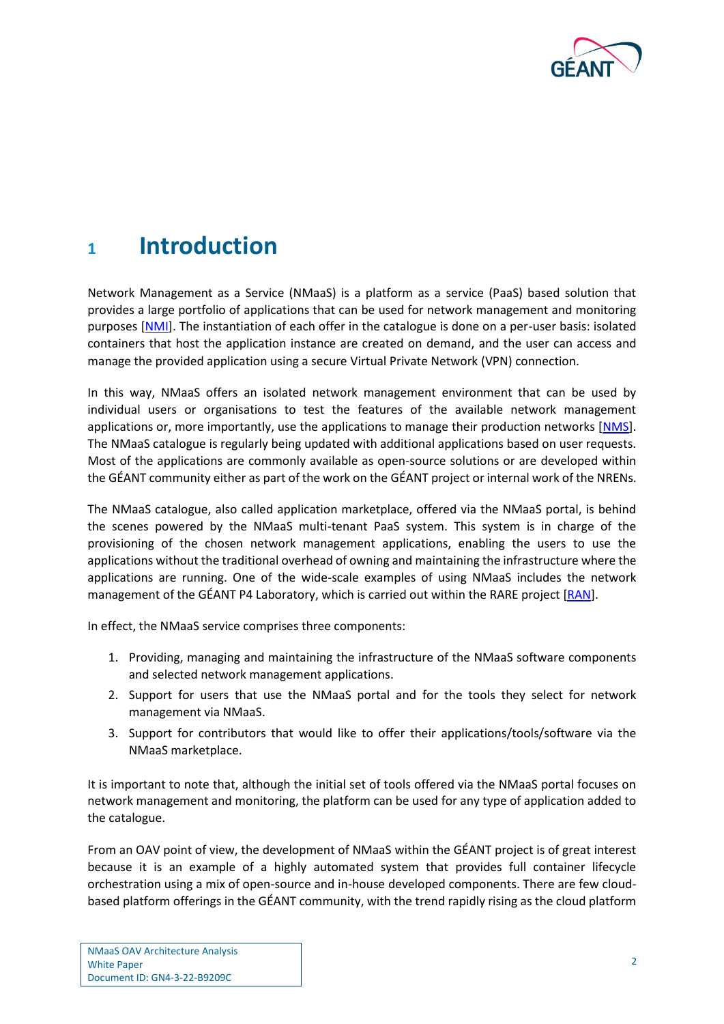

### <span id="page-3-0"></span>**<sup>1</sup> Introduction**

Network Management as a Service (NMaaS) is a platform as a service (PaaS) based solution that provides a large portfolio of applications that can be used for network management and monitoring purposes [\[NMI\]](#page-14-2). The instantiation of each offer in the catalogue is done on a per-user basis: isolated containers that host the application instance are created on demand, and the user can access and manage the provided application using a secure Virtual Private Network (VPN) connection.

In this way, NMaaS offers an isolated network management environment that can be used by individual users or organisations to test the features of the available network management applications or, more importantly, use the applications to manage their production networks [\[NMS\]](#page-14-3). The NMaaS catalogue is regularly being updated with additional applications based on user requests. Most of the applications are commonly available as open-source solutions or are developed within the GÉANT community either as part of the work on the GÉANT project or internal work of the NRENs.

The NMaaS catalogue, also called application marketplace, offered via the NMaaS portal, is behind the scenes powered by the NMaaS multi-tenant PaaS system. This system is in charge of the provisioning of the chosen network management applications, enabling the users to use the applications without the traditional overhead of owning and maintaining the infrastructure where the applications are running. One of the wide-scale examples of using NMaaS includes the network management of the GÉANT P4 Laboratory, which is carried out within the RARE project [\[RAN\]](#page-15-0).

In effect, the NMaaS service comprises three components:

- 1. Providing, managing and maintaining the infrastructure of the NMaaS software components and selected network management applications.
- 2. Support for users that use the NMaaS portal and for the tools they select for network management via NMaaS.
- 3. Support for contributors that would like to offer their applications/tools/software via the NMaaS marketplace.

It is important to note that, although the initial set of tools offered via the NMaaS portal focuses on network management and monitoring, the platform can be used for any type of application added to the catalogue.

From an OAV point of view, the development of NMaaS within the GÉANT project is of great interest because it is an example of a highly automated system that provides full container lifecycle orchestration using a mix of open-source and in-house developed components. There are few cloudbased platform offerings in the GÉANT community, with the trend rapidly rising as the cloud platform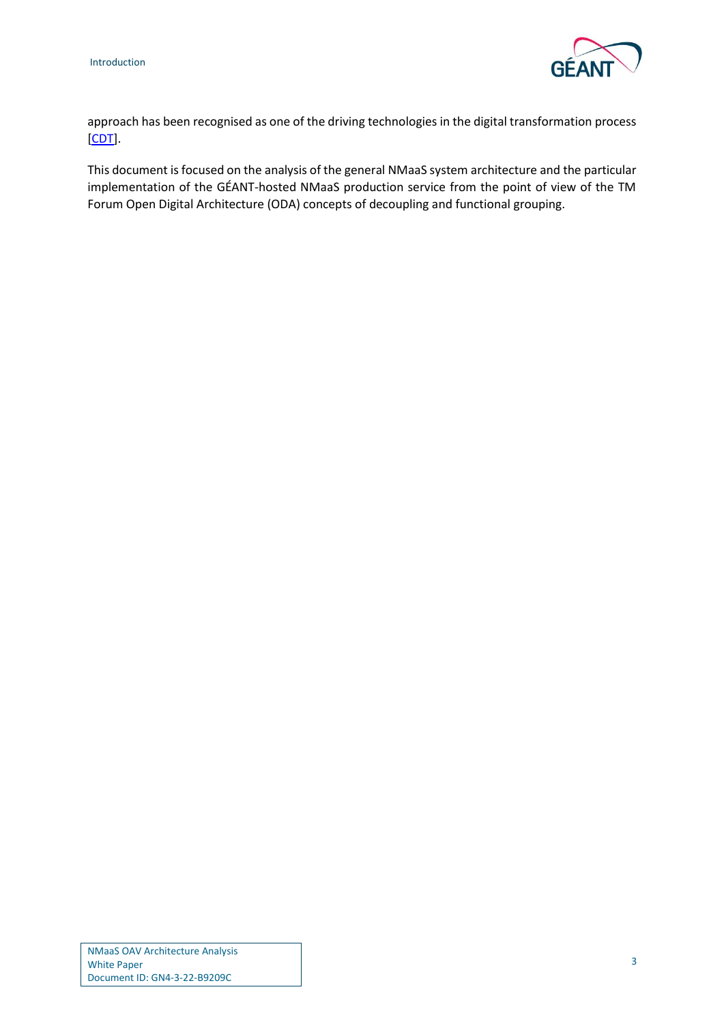

approach has been recognised as one of the driving technologies in the digital transformation process [\[CDT\]](#page-14-4).

This document is focused on the analysis of the general NMaaS system architecture and the particular implementation of the GÉANT-hosted NMaaS production service from the point of view of the TM Forum Open Digital Architecture (ODA) concepts of decoupling and functional grouping.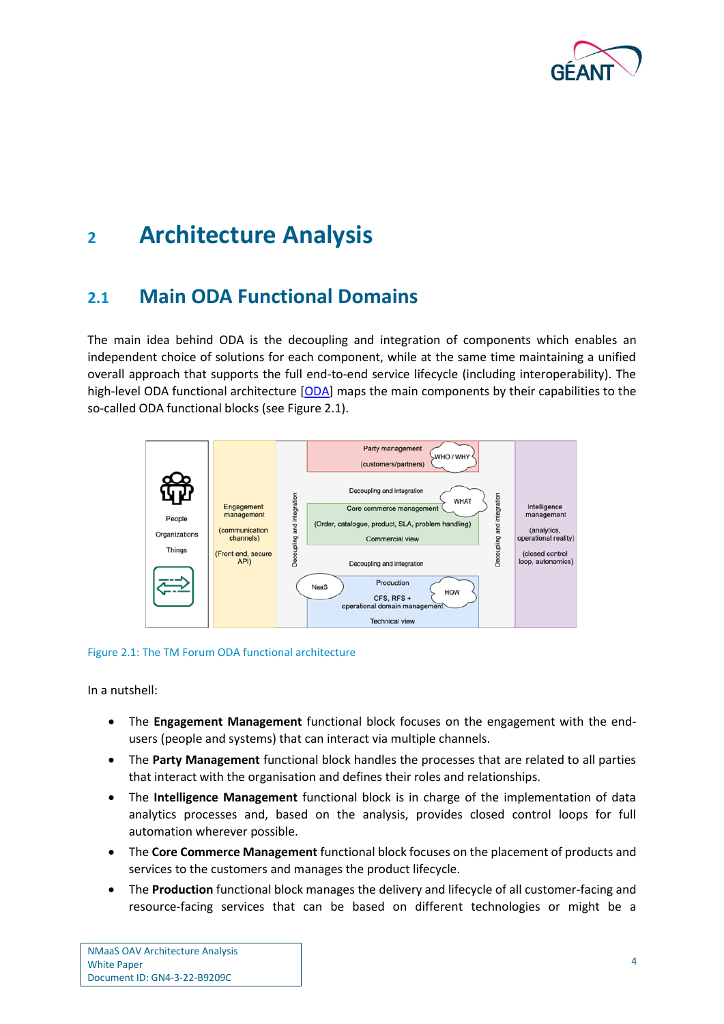

## <span id="page-5-0"></span>**<sup>2</sup> Architecture Analysis**

### <span id="page-5-1"></span>**2.1 Main ODA Functional Domains**

The main idea behind ODA is the decoupling and integration of components which enables an independent choice of solutions for each component, while at the same time maintaining a unified overall approach that supports the full end-to-end service lifecycle (including interoperability). The high-level ODA functional architecture [\[ODA\]](#page-15-1) maps the main components by their capabilities to the so-called ODA functional blocks (se[e Figure 2.1\)](#page-5-2).



#### <span id="page-5-2"></span>Figure 2.1: The TM Forum ODA functional architecture

In a nutshell:

- The **Engagement Management** functional block focuses on the engagement with the endusers (people and systems) that can interact via multiple channels.
- The **Party Management** functional block handles the processes that are related to all parties that interact with the organisation and defines their roles and relationships.
- The **Intelligence Management** functional block is in charge of the implementation of data analytics processes and, based on the analysis, provides closed control loops for full automation wherever possible.
- The **Core Commerce Management** functional block focuses on the placement of products and services to the customers and manages the product lifecycle.
- The **Production** functional block manages the delivery and lifecycle of all customer-facing and resource-facing services that can be based on different technologies or might be a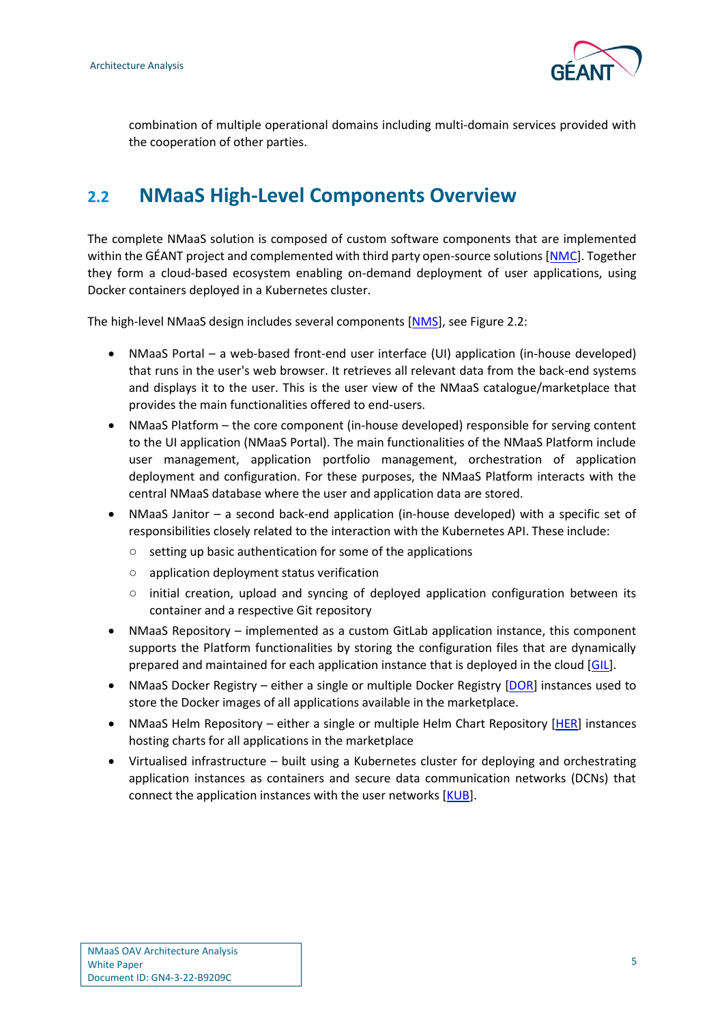

combination of multiple operational domains including multi-domain services provided with the cooperation of other parties.

### <span id="page-6-0"></span>**2.2 NMaaS High-Level Components Overview**

The complete NMaaS solution is composed of custom software components that are implemented within the GÉANT project and complemented with third party open-source solutions [\[NMC\]](#page-14-5). Together they form a cloud-based ecosystem enabling on-demand deployment of user applications, using Docker containers deployed in a Kubernetes cluster.

The high-level NMaaS design includes several components [\[NMS\]](#page-14-3), see [Figure 2.2:](#page-7-1)

- NMaaS Portal a web-based front-end user interface (UI) application (in-house developed) that runs in the user's web browser. It retrieves all relevant data from the back-end systems and displays it to the user. This is the user view of the NMaaS catalogue/marketplace that provides the main functionalities offered to end-users.
- NMaaS Platform the core component (in-house developed) responsible for serving content to the UI application (NMaaS Portal). The main functionalities of the NMaaS Platform include user management, application portfolio management, orchestration of application deployment and configuration. For these purposes, the NMaaS Platform interacts with the central NMaaS database where the user and application data are stored.
- NMaaS Janitor a second back-end application (in-house developed) with a specific set of responsibilities closely related to the interaction with the Kubernetes API. These include:
	- setting up basic authentication for some of the applications
	- application deployment status verification
	- $\circ$  initial creation, upload and syncing of deployed application configuration between its container and a respective Git repository
- NMaaS Repository implemented as a custom GitLab application instance, this component supports the Platform functionalities by storing the configuration files that are dynamically prepared and maintained for each application instance that is deployed in the cloud [\[GIL\]](#page-14-6).
- NMaaS Docker Registry either a single or multiple Docker Registry [\[DOR\]](#page-14-7) instances used to store the Docker images of all applications available in the marketplace.
- NMaaS Helm Repository either a single or multiple Helm Chart Repository [\[HER\]](#page-14-8) instances hosting charts for all applications in the marketplace
- Virtualised infrastructure built using a Kubernetes cluster for deploying and orchestrating application instances as containers and secure data communication networks (DCNs) that connect the application instances with the user networks [\[KUB\]](#page-14-9).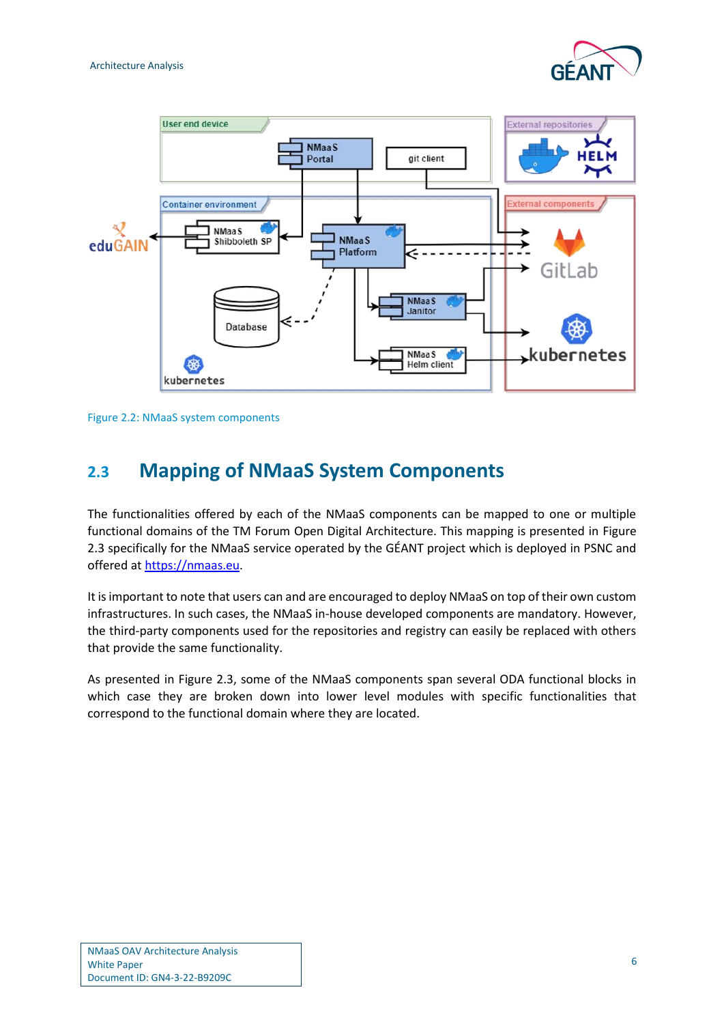



<span id="page-7-1"></span>Figure 2.2: NMaaS system components

### <span id="page-7-0"></span>**2.3 Mapping of NMaaS System Components**

The functionalities offered by each of the NMaaS components can be mapped to one or multiple functional domains of the TM Forum Open Digital Architecture. This mapping is presented in [Figure](#page-8-1)  [2.3](#page-8-1) specifically for the NMaaS service operated by the GÉANT project which is deployed in PSNC and offered at [https://nmaas.eu.](https://nmaas.eu/)

It is important to note that users can and are encouraged to deploy NMaaS on top of their own custom infrastructures. In such cases, the NMaaS in-house developed components are mandatory. However, the third-party components used for the repositories and registry can easily be replaced with others that provide the same functionality.

As presented in [Figure 2.3,](#page-8-1) some of the NMaaS components span several ODA functional blocks in which case they are broken down into lower level modules with specific functionalities that correspond to the functional domain where they are located.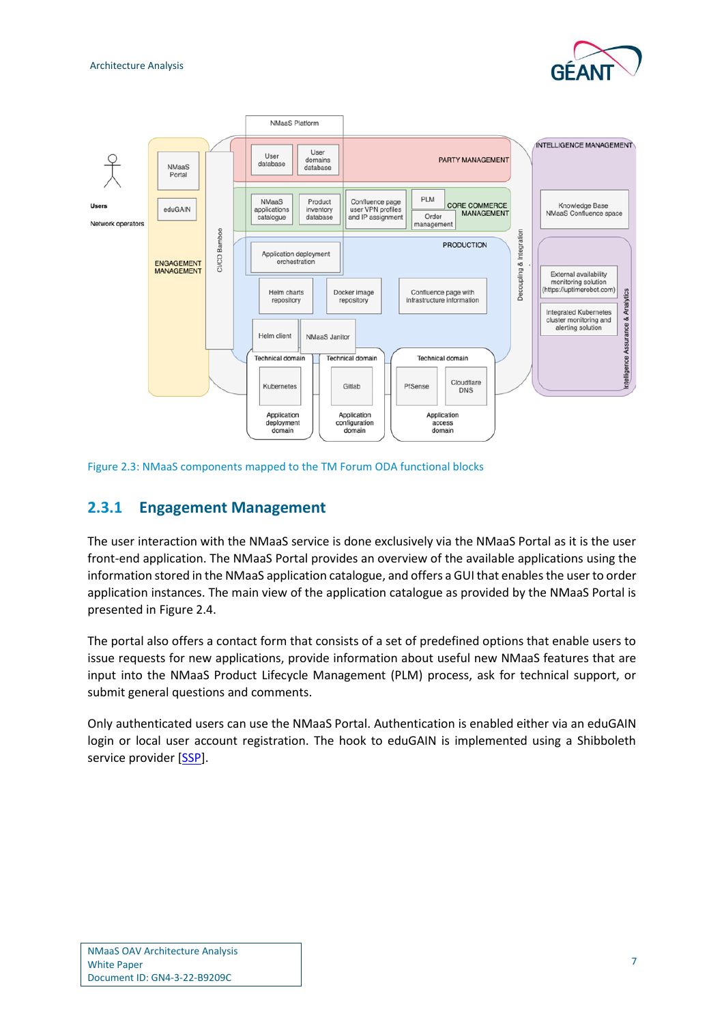



#### <span id="page-8-1"></span>Figure 2.3: NMaaS components mapped to the TM Forum ODA functional blocks

#### <span id="page-8-0"></span>**2.3.1 Engagement Management**

The user interaction with the NMaaS service is done exclusively via the NMaaS Portal as it is the user front-end application. The NMaaS Portal provides an overview of the available applications using the information stored in the NMaaS application catalogue, and offers a GUI that enables the user to order application instances. The main view of the application catalogue as provided by the NMaaS Portal is presented in [Figure 2.4.](#page-9-1)

The portal also offers a contact form that consists of a set of predefined options that enable users to issue requests for new applications, provide information about useful new NMaaS features that are input into the NMaaS Product Lifecycle Management (PLM) process, ask for technical support, or submit general questions and comments.

Only authenticated users can use the NMaaS Portal. Authentication is enabled either via an eduGAIN login or local user account registration. The hook to eduGAIN is implemented using a Shibboleth service provider [\[SSP\]](#page-15-2).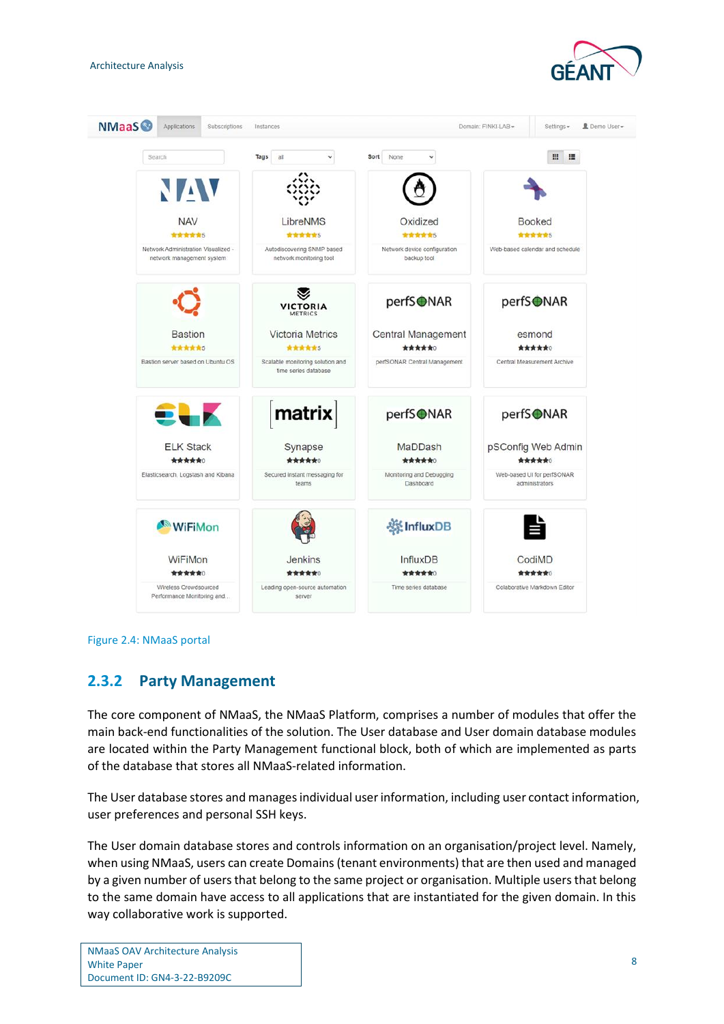



<span id="page-9-1"></span>

### <span id="page-9-0"></span>**2.3.2 Party Management**

The core component of NMaaS, the NMaaS Platform, comprises a number of modules that offer the main back-end functionalities of the solution. The User database and User domain database modules are located within the Party Management functional block, both of which are implemented as parts of the database that stores all NMaaS-related information.

The User database stores and manages individual user information, including user contact information, user preferences and personal SSH keys.

The User domain database stores and controls information on an organisation/project level. Namely, when using NMaaS, users can create Domains (tenant environments) that are then used and managed by a given number of users that belong to the same project or organisation. Multiple users that belong to the same domain have access to all applications that are instantiated for the given domain. In this way collaborative work is supported.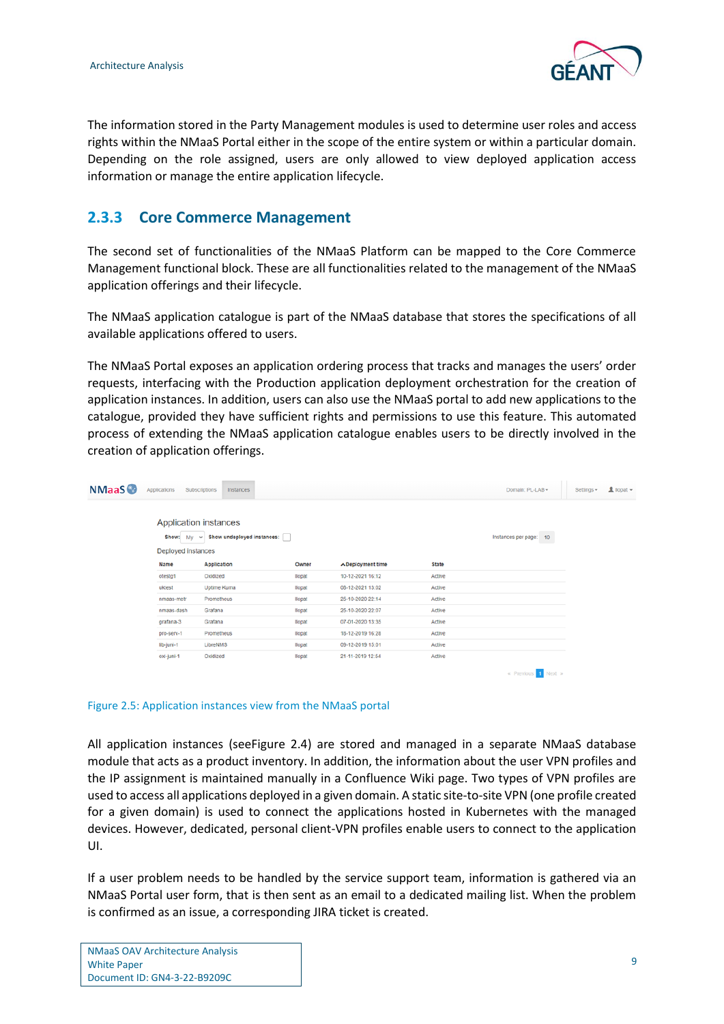

The information stored in the Party Management modules is used to determine user roles and access rights within the NMaaS Portal either in the scope of the entire system or within a particular domain. Depending on the role assigned, users are only allowed to view deployed application access information or manage the entire application lifecycle.

### <span id="page-10-0"></span>**2.3.3 Core Commerce Management**

The second set of functionalities of the NMaaS Platform can be mapped to the Core Commerce Management functional block. These are all functionalities related to the management of the NMaaS application offerings and their lifecycle.

The NMaaS application catalogue is part of the NMaaS database that stores the specifications of all available applications offered to users.

The NMaaS Portal exposes an application ordering process that tracks and manages the users' order requests, interfacing with the Production application deployment orchestration for the creation of application instances. In addition, users can also use the NMaaS portal to add new applications to the catalogue, provided they have sufficient rights and permissions to use this feature. This automated process of extending the NMaaS application catalogue enables users to be directly involved in the creation of application offerings.

| <b>NMaaS</b> | Applications                   | Subscriptions<br>Instances                                 |                |                         |              | Domain: PL-LAB -       | $\blacksquare$ llopat $\blacktriangleright$<br>Settings - |
|--------------|--------------------------------|------------------------------------------------------------|----------------|-------------------------|--------------|------------------------|-----------------------------------------------------------|
|              | Show: My<br>Deployed instances | Application instances<br>$\vee$ Show undeployed instances: |                |                         |              | Instances per page: 10 |                                                           |
|              | Name                           | <b>Application</b>                                         | Owner          | <b>∧Deployment time</b> | <b>State</b> |                        |                                                           |
|              | otestg1                        | Oxidized                                                   | <b>Ilopat</b>  | 10-12-2021 16:12        | Active       |                        |                                                           |
|              | uktest                         | Uptime Kuma                                                | <b>Ilopat</b>  | 08-12-2021 13:02        | Active       |                        |                                                           |
|              | nmaas-metr                     | Prometheus                                                 | <b>Ilopat</b>  | 25-10-2020 22:14        | Active       |                        |                                                           |
|              | nmaas-dash                     | Grafana                                                    | <b>Ilopat</b>  | 25-10-2020 22:07        | Active       |                        |                                                           |
|              | grafana-3                      | Grafana                                                    | <b>Ilopat</b>  | 07-01-2020 13:35        | Active       |                        |                                                           |
|              | pro-serv-1                     | Prometheus                                                 | <b>Illopat</b> | 18-12-2019 16:28        | Active       |                        |                                                           |
|              | lib-juni-1                     | LibreNMS                                                   | <b>llopat</b>  | 09-12-2019 15:01        | Active       |                        |                                                           |
|              | oxi-juni-1                     | Oxidized                                                   | <b>Ilopat</b>  | 21-11-2019 12:54        | Active       |                        |                                                           |
|              |                                |                                                            |                |                         |              | « Previous 1 Next »    |                                                           |

#### <span id="page-10-1"></span>Figure 2.5: Application instances view from the NMaaS portal

All application instances (se[eFigure 2.4\)](#page-9-1) are stored and managed in a separate NMaaS database module that acts as a product inventory. In addition, the information about the user VPN profiles and the IP assignment is maintained manually in a Confluence Wiki page. Two types of VPN profiles are used to access all applications deployed in a given domain. A static site-to-site VPN (one profile created for a given domain) is used to connect the applications hosted in Kubernetes with the managed devices. However, dedicated, personal client-VPN profiles enable users to connect to the application UI.

If a user problem needs to be handled by the service support team, information is gathered via an NMaaS Portal user form, that is then sent as an email to a dedicated mailing list. When the problem is confirmed as an issue, a corresponding JIRA ticket is created.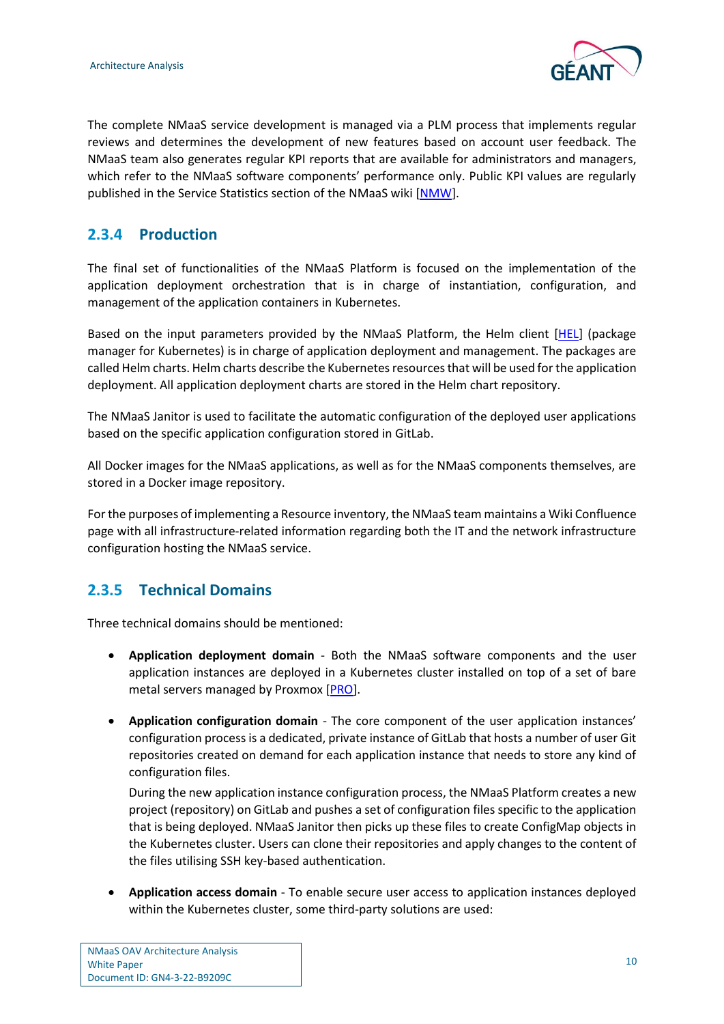

The complete NMaaS service development is managed via a PLM process that implements regular reviews and determines the development of new features based on account user feedback. The NMaaS team also generates regular KPI reports that are available for administrators and managers, which refer to the NMaaS software components' performance only. Public KPI values are regularly published in the Service Statistics section of the NMaaS wiki [\[NMW\]](#page-15-3).

### <span id="page-11-0"></span>**2.3.4 Production**

The final set of functionalities of the NMaaS Platform is focused on the implementation of the application deployment orchestration that is in charge of instantiation, configuration, and management of the application containers in Kubernetes.

Based on the input parameters provided by the NMaaS Platform, the Helm client [\[HEL\]](#page-14-10) (package manager for Kubernetes) is in charge of application deployment and management. The packages are called Helm charts. Helm charts describe the Kubernetes resources that will be used for the application deployment. All application deployment charts are stored in the Helm chart repository.

The NMaaS Janitor is used to facilitate the automatic configuration of the deployed user applications based on the specific application configuration stored in GitLab.

All Docker images for the NMaaS applications, as well as for the NMaaS components themselves, are stored in a Docker image repository.

For the purposes of implementing a Resource inventory, the NMaaS team maintains a Wiki Confluence page with all infrastructure-related information regarding both the IT and the network infrastructure configuration hosting the NMaaS service.

### <span id="page-11-1"></span>**2.3.5 Technical Domains**

Three technical domains should be mentioned:

- **Application deployment domain** Both the NMaaS software components and the user application instances are deployed in a Kubernetes cluster installed on top of a set of bare metal servers managed by Proxmox [\[PRO\]](#page-15-4).
- **Application configuration domain** The core component of the user application instances' configuration process is a dedicated, private instance of GitLab that hosts a number of user Git repositories created on demand for each application instance that needs to store any kind of configuration files.

During the new application instance configuration process, the NMaaS Platform creates a new project (repository) on GitLab and pushes a set of configuration files specific to the application that is being deployed. NMaaS Janitor then picks up these files to create ConfigMap objects in the Kubernetes cluster. Users can clone their repositories and apply changes to the content of the files utilising SSH key-based authentication.

• **Application access domain** - To enable secure user access to application instances deployed within the Kubernetes cluster, some third-party solutions are used: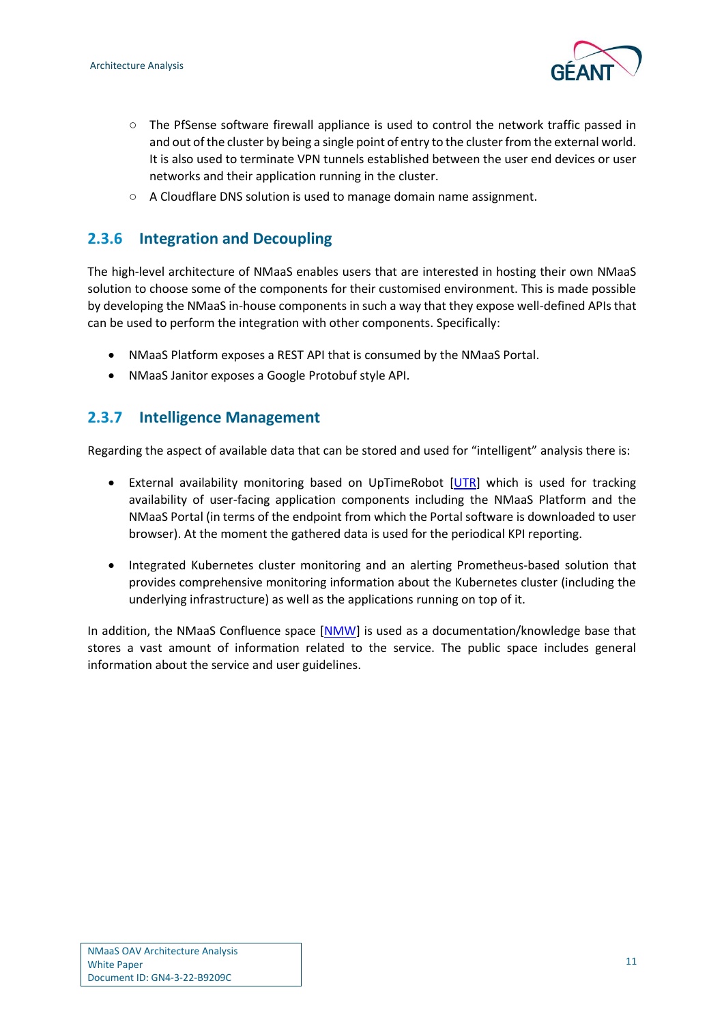

- The PfSense software firewall appliance is used to control the network traffic passed in and out of the cluster by being a single point of entry to the cluster from the external world. It is also used to terminate VPN tunnels established between the user end devices or user networks and their application running in the cluster.
- A Cloudflare DNS solution is used to manage domain name assignment.

#### <span id="page-12-0"></span>**2.3.6 Integration and Decoupling**

The high-level architecture of NMaaS enables users that are interested in hosting their own NMaaS solution to choose some of the components for their customised environment. This is made possible by developing the NMaaS in-house components in such a way that they expose well-defined APIs that can be used to perform the integration with other components. Specifically:

- NMaaS Platform exposes a REST API that is consumed by the NMaaS Portal.
- NMaaS Janitor exposes a Google Protobuf style API.

#### <span id="page-12-1"></span>**2.3.7 Intelligence Management**

Regarding the aspect of available data that can be stored and used for "intelligent" analysis there is:

- External availability monitoring based on UpTimeRobot [\[UTR\]](#page-15-5) which is used for tracking availability of user-facing application components including the NMaaS Platform and the NMaaS Portal (in terms of the endpoint from which the Portal software is downloaded to user browser). At the moment the gathered data is used for the periodical KPI reporting.
- Integrated Kubernetes cluster monitoring and an alerting Prometheus-based solution that provides comprehensive monitoring information about the Kubernetes cluster (including the underlying infrastructure) as well as the applications running on top of it.

In addition, the NMaaS Confluence space [\[NMW\]](#page-15-3) is used as a documentation/knowledge base that stores a vast amount of information related to the service. The public space includes general information about the service and user guidelines.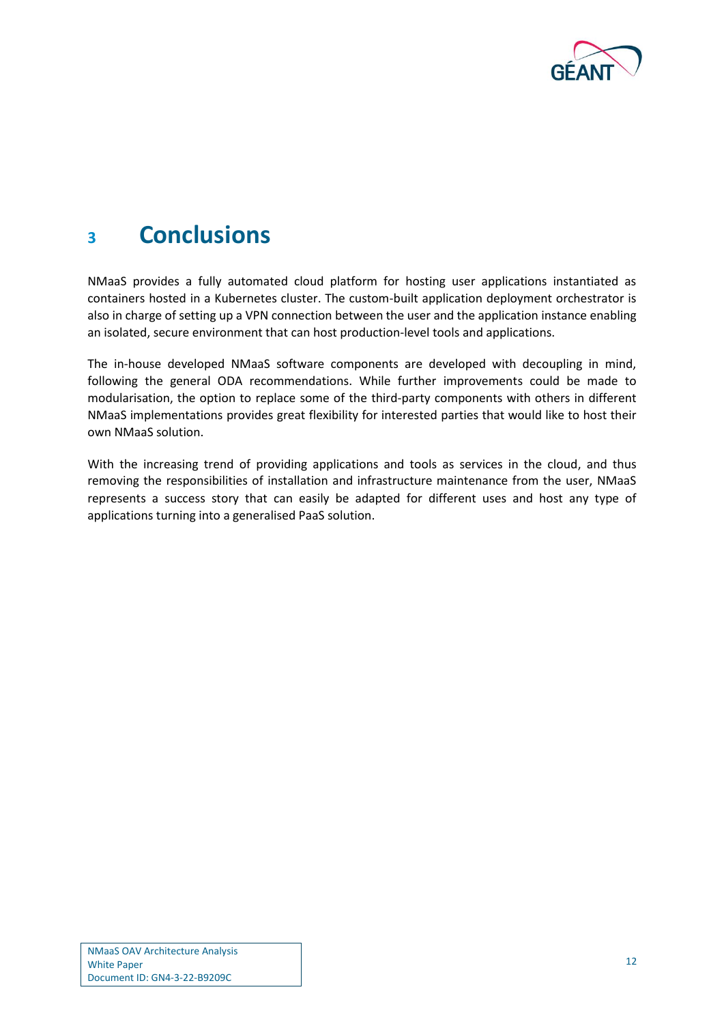

## <span id="page-13-0"></span>**<sup>3</sup> Conclusions**

NMaaS provides a fully automated cloud platform for hosting user applications instantiated as containers hosted in a Kubernetes cluster. The custom-built application deployment orchestrator is also in charge of setting up a VPN connection between the user and the application instance enabling an isolated, secure environment that can host production-level tools and applications.

The in-house developed NMaaS software components are developed with decoupling in mind, following the general ODA recommendations. While further improvements could be made to modularisation, the option to replace some of the third-party components with others in different NMaaS implementations provides great flexibility for interested parties that would like to host their own NMaaS solution.

With the increasing trend of providing applications and tools as services in the cloud, and thus removing the responsibilities of installation and infrastructure maintenance from the user, NMaaS represents a success story that can easily be adapted for different uses and host any type of applications turning into a generalised PaaS solution.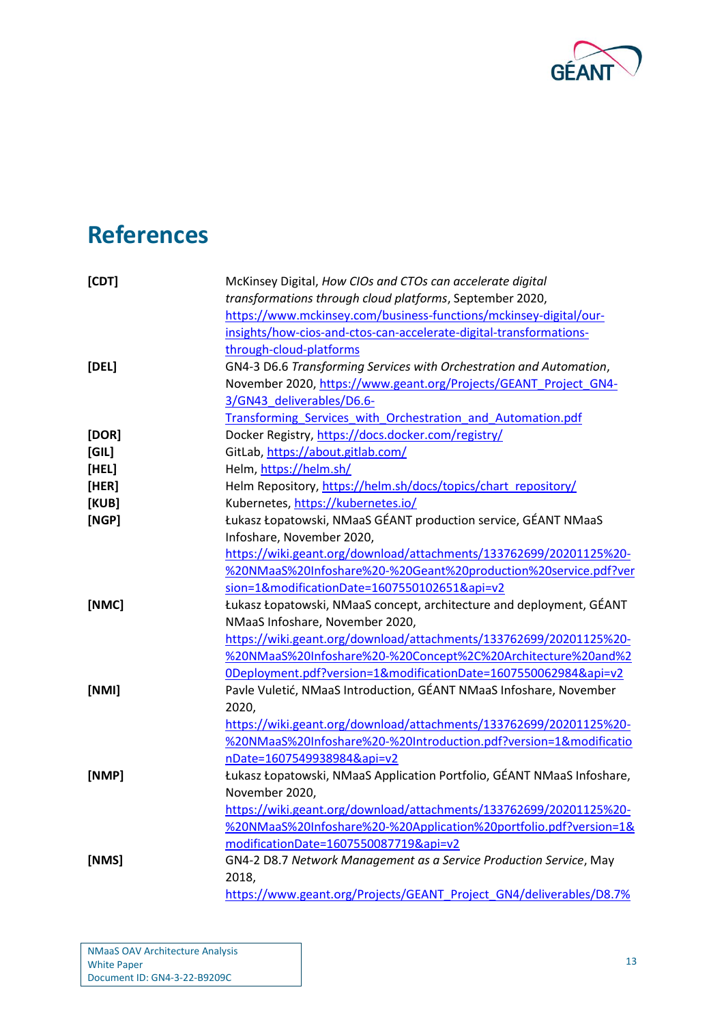

# <span id="page-14-0"></span>**References**

<span id="page-14-10"></span><span id="page-14-9"></span><span id="page-14-8"></span><span id="page-14-7"></span><span id="page-14-6"></span><span id="page-14-5"></span><span id="page-14-4"></span><span id="page-14-3"></span><span id="page-14-2"></span><span id="page-14-1"></span>

| [CDT] | McKinsey Digital, How CIOs and CTOs can accelerate digital             |
|-------|------------------------------------------------------------------------|
|       | transformations through cloud platforms, September 2020,               |
|       | https://www.mckinsey.com/business-functions/mckinsey-digital/our-      |
|       | insights/how-cios-and-ctos-can-accelerate-digital-transformations-     |
|       | through-cloud-platforms                                                |
| [DEL] | GN4-3 D6.6 Transforming Services with Orchestration and Automation,    |
|       | November 2020, https://www.geant.org/Projects/GEANT_Project_GN4-       |
|       | 3/GN43_deliverables/D6.6-                                              |
|       | Transforming Services with Orchestration and Automation.pdf            |
| [DOR] | Docker Registry, https://docs.docker.com/registry/                     |
| [GIL] | GitLab, https://about.gitlab.com/                                      |
| [HEL] | Helm, https://helm.sh/                                                 |
| [HER] | Helm Repository, https://helm.sh/docs/topics/chart_repository/         |
| [KUB] | Kubernetes, https://kubernetes.io/                                     |
| [NGP] | Łukasz Łopatowski, NMaaS GÉANT production service, GÉANT NMaaS         |
|       | Infoshare, November 2020,                                              |
|       | https://wiki.geant.org/download/attachments/133762699/20201125%20-     |
|       | %20NMaaS%20Infoshare%20-%20Geant%20production%20service.pdf?ver        |
|       | sion=1&modificationDate=1607550102651&api=v2                           |
| [NMC] | Łukasz Łopatowski, NMaaS concept, architecture and deployment, GÉANT   |
|       | NMaaS Infoshare, November 2020,                                        |
|       | https://wiki.geant.org/download/attachments/133762699/20201125%20-     |
|       | %20NMaaS%20Infoshare%20-%20Concept%2C%20Architecture%20and%2           |
|       | ODeployment.pdf?version=1&modificationDate=1607550062984&api=v2        |
| [NMI] | Pavle Vuletić, NMaaS Introduction, GÉANT NMaaS Infoshare, November     |
|       | 2020,                                                                  |
|       | https://wiki.geant.org/download/attachments/133762699/20201125%20-     |
|       | %20NMaaS%20Infoshare%20-%20Introduction.pdf?version=1&modificatio      |
|       | nDate=1607549938984&api=v2                                             |
| [NMP] | Łukasz Łopatowski, NMaaS Application Portfolio, GÉANT NMaaS Infoshare, |
|       | November 2020,                                                         |
|       | https://wiki.geant.org/download/attachments/133762699/20201125%20-     |
|       | %20NMaaS%20Infoshare%20-%20Application%20portfolio.pdf?version=1&      |
|       | modificationDate=1607550087719&api=v2                                  |
| [NMS] | GN4-2 D8.7 Network Management as a Service Production Service, May     |
|       | 2018,                                                                  |
|       | https://www.geant.org/Projects/GEANT Project GN4/deliverables/D8.7%    |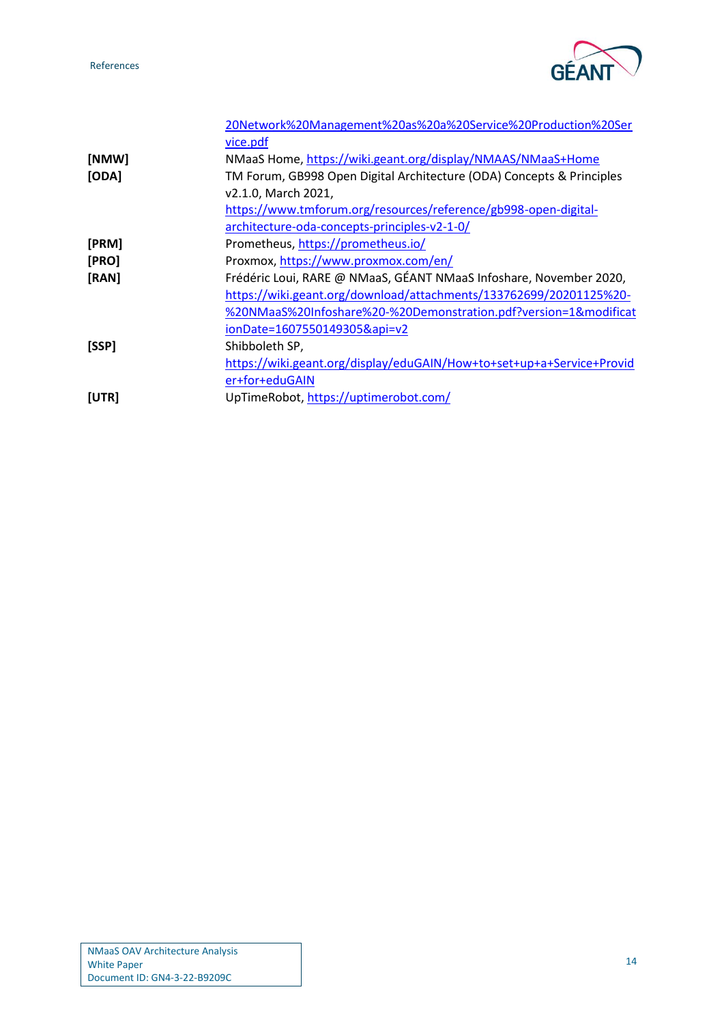References



<span id="page-15-5"></span><span id="page-15-4"></span><span id="page-15-3"></span><span id="page-15-2"></span><span id="page-15-1"></span><span id="page-15-0"></span>

|       | 20Network%20Management%20as%20a%20Service%20Production%20Ser          |
|-------|-----------------------------------------------------------------------|
|       | vice.pdf                                                              |
| [NMW] | NMaaS Home, https://wiki.geant.org/display/NMAAS/NMaaS+Home           |
| [ODA] | TM Forum, GB998 Open Digital Architecture (ODA) Concepts & Principles |
|       | v2.1.0, March 2021,                                                   |
|       | https://www.tmforum.org/resources/reference/gb998-open-digital-       |
|       | architecture-oda-concepts-principles-v2-1-0/                          |
| [PRM] | Prometheus, https://prometheus.io/                                    |
| [PRO] | Proxmox, https://www.proxmox.com/en/                                  |
| [RAN] | Frédéric Loui, RARE @ NMaaS, GÉANT NMaaS Infoshare, November 2020,    |
|       | https://wiki.geant.org/download/attachments/133762699/20201125%20-    |
|       | %20NMaaS%20Infoshare%20-%20Demonstration.pdf?version=1&modificat      |
|       | ionDate=1607550149305&api=v2                                          |
| [SSP] | Shibboleth SP,                                                        |
|       | https://wiki.geant.org/display/eduGAIN/How+to+set+up+a+Service+Provid |
|       | er+for+eduGAIN                                                        |
| [UTR] | UpTimeRobot, https://uptimerobot.com/                                 |